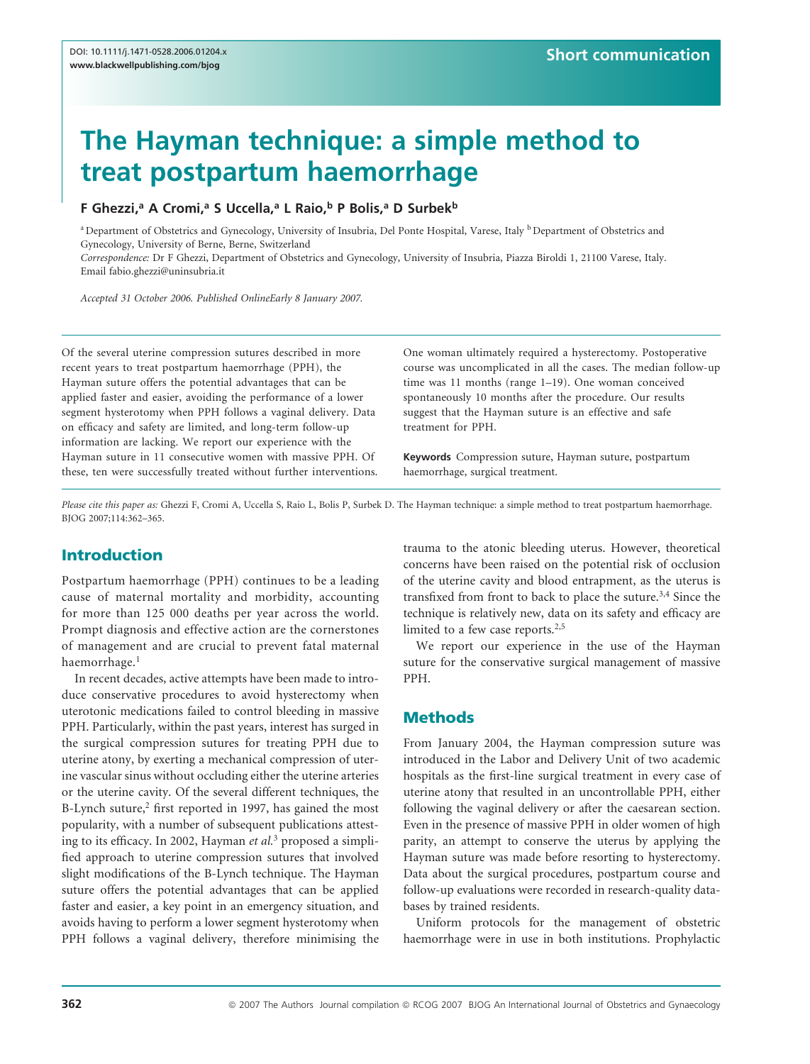# The Hayman technique: a simple method to treat postpartum haemorrhage

## F Ghezzi,<sup>a</sup> A Cromi,<sup>a</sup> S Uccella,<sup>a</sup> L Raio,<sup>b</sup> P Bolis,<sup>a</sup> D Surbek<sup>b</sup>

<sup>a</sup> Department of Obstetrics and Gynecology, University of Insubria, Del Ponte Hospital, Varese, Italy <sup>b</sup> Department of Obstetrics and Gynecology, University of Berne, Berne, Switzerland

Correspondence: Dr F Ghezzi, Department of Obstetrics and Gynecology, University of Insubria, Piazza Biroldi 1, 21100 Varese, Italy. Email fabio.ghezzi@uninsubria.it

Accepted 31 October 2006. Published OnlineEarly 8 January 2007.

Of the several uterine compression sutures described in more recent years to treat postpartum haemorrhage (PPH), the Hayman suture offers the potential advantages that can be applied faster and easier, avoiding the performance of a lower segment hysterotomy when PPH follows a vaginal delivery. Data on efficacy and safety are limited, and long-term follow-up information are lacking. We report our experience with the Hayman suture in 11 consecutive women with massive PPH. Of these, ten were successfully treated without further interventions. One woman ultimately required a hysterectomy. Postoperative course was uncomplicated in all the cases. The median follow-up time was 11 months (range 1–19). One woman conceived spontaneously 10 months after the procedure. Our results suggest that the Hayman suture is an effective and safe treatment for PPH.

Keywords Compression suture, Hayman suture, postpartum haemorrhage, surgical treatment.

Please cite this paper as: Ghezzi F, Cromi A, Uccella S, Raio L, Bolis P, Surbek D. The Hayman technique: a simple method to treat postpartum haemorrhage. BJOG 2007;114:362–365.

# Introduction

Postpartum haemorrhage (PPH) continues to be a leading cause of maternal mortality and morbidity, accounting for more than 125 000 deaths per year across the world. Prompt diagnosis and effective action are the cornerstones of management and are crucial to prevent fatal maternal haemorrhage.<sup>1</sup>

In recent decades, active attempts have been made to introduce conservative procedures to avoid hysterectomy when uterotonic medications failed to control bleeding in massive PPH. Particularly, within the past years, interest has surged in the surgical compression sutures for treating PPH due to uterine atony, by exerting a mechanical compression of uterine vascular sinus without occluding either the uterine arteries or the uterine cavity. Of the several different techniques, the B-Lynch suture, $2$  first reported in 1997, has gained the most popularity, with a number of subsequent publications attesting to its efficacy. In 2002, Hayman et al.<sup>3</sup> proposed a simplified approach to uterine compression sutures that involved slight modifications of the B-Lynch technique. The Hayman suture offers the potential advantages that can be applied faster and easier, a key point in an emergency situation, and avoids having to perform a lower segment hysterotomy when PPH follows a vaginal delivery, therefore minimising the trauma to the atonic bleeding uterus. However, theoretical concerns have been raised on the potential risk of occlusion of the uterine cavity and blood entrapment, as the uterus is transfixed from front to back to place the suture.3,4 Since the technique is relatively new, data on its safety and efficacy are limited to a few case reports.<sup>2,5</sup>

We report our experience in the use of the Hayman suture for the conservative surgical management of massive PPH.

## **Methods**

From January 2004, the Hayman compression suture was introduced in the Labor and Delivery Unit of two academic hospitals as the first-line surgical treatment in every case of uterine atony that resulted in an uncontrollable PPH, either following the vaginal delivery or after the caesarean section. Even in the presence of massive PPH in older women of high parity, an attempt to conserve the uterus by applying the Hayman suture was made before resorting to hysterectomy. Data about the surgical procedures, postpartum course and follow-up evaluations were recorded in research-quality databases by trained residents.

Uniform protocols for the management of obstetric haemorrhage were in use in both institutions. Prophylactic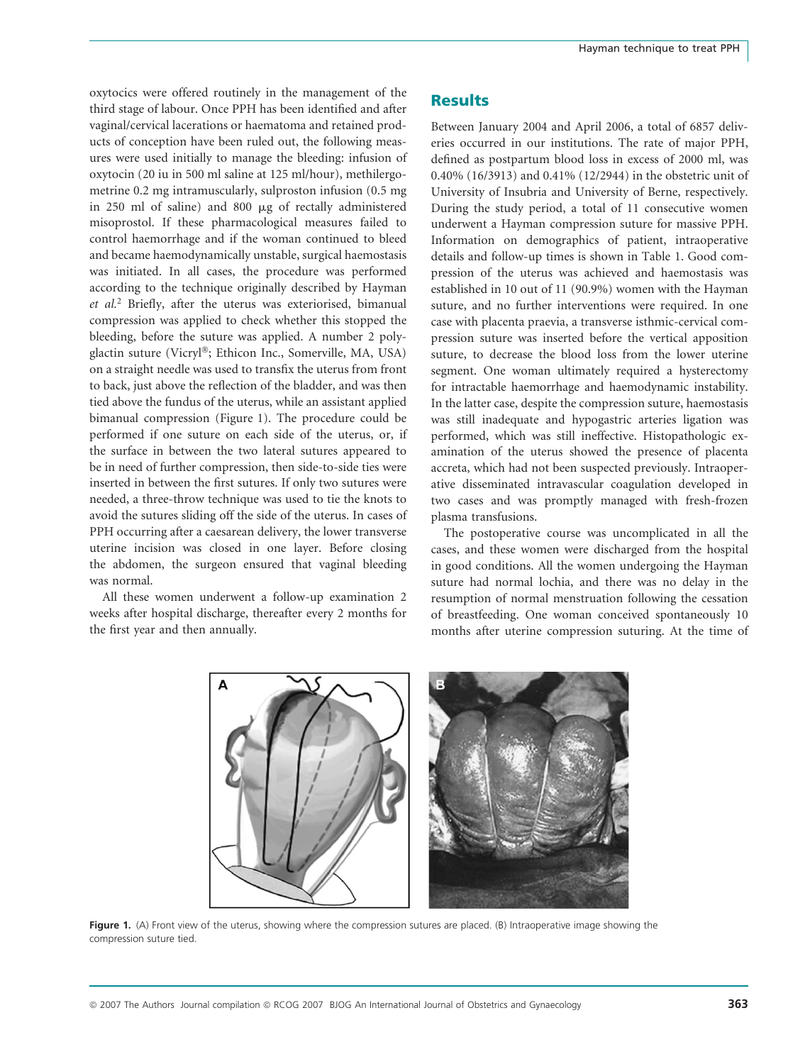oxytocics were offered routinely in the management of the third stage of labour. Once PPH has been identified and after vaginal/cervical lacerations or haematoma and retained products of conception have been ruled out, the following measures were used initially to manage the bleeding: infusion of oxytocin (20 iu in 500 ml saline at 125 ml/hour), methilergometrine 0.2 mg intramuscularly, sulproston infusion (0.5 mg in 250 ml of saline) and 800 *m*g of rectally administered misoprostol. If these pharmacological measures failed to control haemorrhage and if the woman continued to bleed and became haemodynamically unstable, surgical haemostasis was initiated. In all cases, the procedure was performed according to the technique originally described by Hayman et al.<sup>2</sup> Briefly, after the uterus was exteriorised, bimanual compression was applied to check whether this stopped the bleeding, before the suture was applied. A number 2 polyglactin suture (Vicryl®; Ethicon Inc., Somerville, MA, USA) on a straight needle was used to transfix the uterus from front to back, just above the reflection of the bladder, and was then tied above the fundus of the uterus, while an assistant applied bimanual compression (Figure 1). The procedure could be performed if one suture on each side of the uterus, or, if the surface in between the two lateral sutures appeared to be in need of further compression, then side-to-side ties were inserted in between the first sutures. If only two sutures were needed, a three-throw technique was used to tie the knots to avoid the sutures sliding off the side of the uterus. In cases of PPH occurring after a caesarean delivery, the lower transverse uterine incision was closed in one layer. Before closing the abdomen, the surgeon ensured that vaginal bleeding was normal.

All these women underwent a follow-up examination 2 weeks after hospital discharge, thereafter every 2 months for the first year and then annually.

#### **Results**

Between January 2004 and April 2006, a total of 6857 deliveries occurred in our institutions. The rate of major PPH, defined as postpartum blood loss in excess of 2000 ml, was 0.40% (16/3913) and 0.41% (12/2944) in the obstetric unit of University of Insubria and University of Berne, respectively. During the study period, a total of 11 consecutive women underwent a Hayman compression suture for massive PPH. Information on demographics of patient, intraoperative details and follow-up times is shown in Table 1. Good compression of the uterus was achieved and haemostasis was established in 10 out of 11 (90.9%) women with the Hayman suture, and no further interventions were required. In one case with placenta praevia, a transverse isthmic-cervical compression suture was inserted before the vertical apposition suture, to decrease the blood loss from the lower uterine segment. One woman ultimately required a hysterectomy for intractable haemorrhage and haemodynamic instability. In the latter case, despite the compression suture, haemostasis was still inadequate and hypogastric arteries ligation was performed, which was still ineffective. Histopathologic examination of the uterus showed the presence of placenta accreta, which had not been suspected previously. Intraoperative disseminated intravascular coagulation developed in two cases and was promptly managed with fresh-frozen plasma transfusions.

The postoperative course was uncomplicated in all the cases, and these women were discharged from the hospital in good conditions. All the women undergoing the Hayman suture had normal lochia, and there was no delay in the resumption of normal menstruation following the cessation of breastfeeding. One woman conceived spontaneously 10 months after uterine compression suturing. At the time of



Figure 1. (A) Front view of the uterus, showing where the compression sutures are placed. (B) Intraoperative image showing the compression suture tied.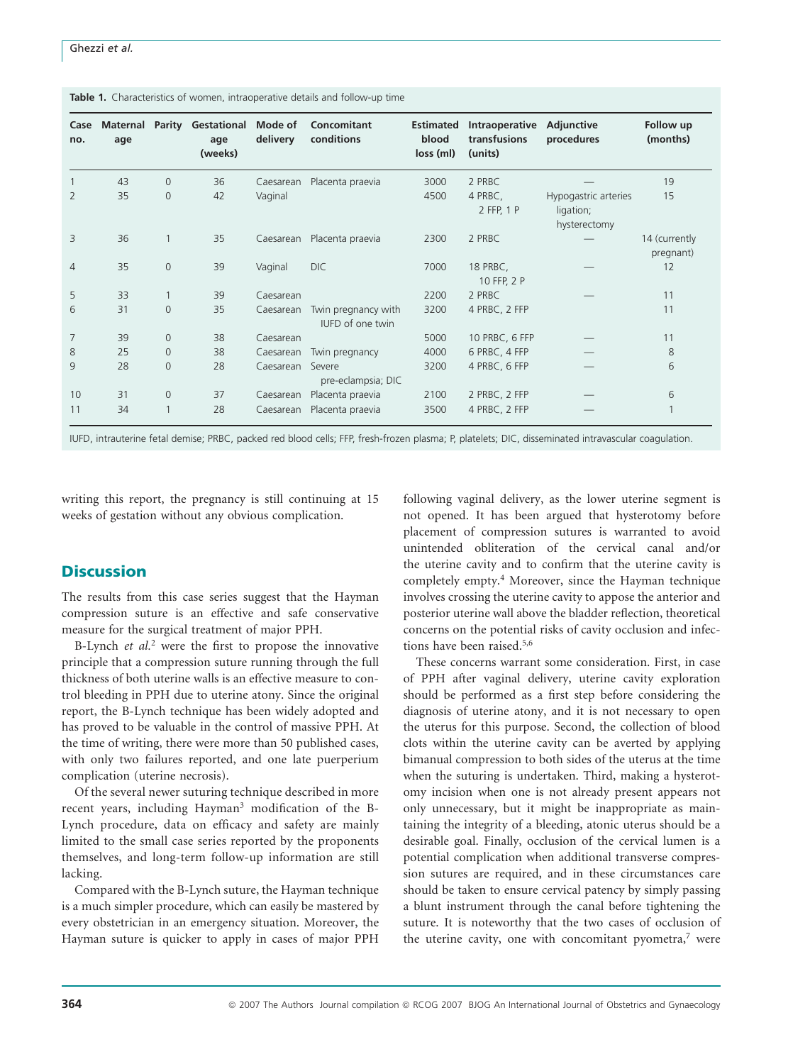| Case<br>no.    | <b>Maternal</b><br>age | Parity         | Gestational<br>age<br>(weeks) | Mode of<br>delivery | Concomitant<br>conditions               | <b>Estimated</b><br>blood<br>loss (ml) | Intraoperative<br>transfusions<br>(units) | Adjunctive<br>procedures                          | Follow up<br>(months)      |
|----------------|------------------------|----------------|-------------------------------|---------------------|-----------------------------------------|----------------------------------------|-------------------------------------------|---------------------------------------------------|----------------------------|
|                | 43                     | $\mathbf{0}$   | 36                            | Caesarean           | Placenta praevia                        | 3000                                   | 2 PRBC                                    |                                                   | 19                         |
| $\overline{2}$ | 35                     | $\mathbf{0}$   | 42                            | Vaginal             |                                         | 4500                                   | 4 PRBC,<br>2 FFP, 1 P                     | Hypogastric arteries<br>ligation;<br>hysterectomy | 15                         |
| 3              | 36                     |                | 35                            | Caesarean           | Placenta praevia                        | 2300                                   | 2 PRBC                                    |                                                   | 14 (currently<br>pregnant) |
| $\overline{4}$ | 35                     | $\mathbf{0}$   | 39                            | Vaginal             | DIC                                     | 7000                                   | 18 PRBC,<br>10 FFP, 2 P                   |                                                   | 12                         |
| 5              | 33                     |                | 39                            | Caesarean           |                                         | 2200                                   | 2 PRBC                                    |                                                   | 11                         |
| 6              | 31                     | $\mathbf{0}$   | 35                            | Caesarean           | Twin pregnancy with<br>IUFD of one twin | 3200                                   | 4 PRBC, 2 FFP                             |                                                   | 11                         |
| 7              | 39                     | $\mathbf{0}$   | 38                            | Caesarean           |                                         | 5000                                   | 10 PRBC, 6 FFP                            |                                                   | 11                         |
| 8              | 25                     | $\mathbf{0}$   | 38                            | Caesarean           | Twin pregnancy                          | 4000                                   | 6 PRBC, 4 FFP                             |                                                   | 8                          |
| 9              | 28                     | $\mathbf{0}$   | 28                            | Caesarean           | Severe<br>pre-eclampsia; DIC            | 3200                                   | 4 PRBC, 6 FFP                             |                                                   | 6                          |
| 10             | 31                     | $\overline{0}$ | 37                            | Caesarean           | Placenta praevia                        | 2100                                   | 2 PRBC, 2 FFP                             |                                                   | 6                          |
| 11             | 34                     |                | 28                            | Caesarean           | Placenta praevia                        | 3500                                   | 4 PRBC, 2 FFP                             |                                                   |                            |

Table 1. Characteristics of women, intraoperative details and follow-up time

IUFD, intrauterine fetal demise; PRBC, packed red blood cells; FFP, fresh-frozen plasma; P, platelets; DIC, disseminated intravascular coagulation.

writing this report, the pregnancy is still continuing at 15 weeks of gestation without any obvious complication.

## **Discussion**

The results from this case series suggest that the Hayman compression suture is an effective and safe conservative measure for the surgical treatment of major PPH.

B-Lynch *et al.*<sup>2</sup> were the first to propose the innovative principle that a compression suture running through the full thickness of both uterine walls is an effective measure to control bleeding in PPH due to uterine atony. Since the original report, the B-Lynch technique has been widely adopted and has proved to be valuable in the control of massive PPH. At the time of writing, there were more than 50 published cases, with only two failures reported, and one late puerperium complication (uterine necrosis).

Of the several newer suturing technique described in more recent years, including Hayman<sup>3</sup> modification of the B-Lynch procedure, data on efficacy and safety are mainly limited to the small case series reported by the proponents themselves, and long-term follow-up information are still lacking.

Compared with the B-Lynch suture, the Hayman technique is a much simpler procedure, which can easily be mastered by every obstetrician in an emergency situation. Moreover, the Hayman suture is quicker to apply in cases of major PPH

following vaginal delivery, as the lower uterine segment is not opened. It has been argued that hysterotomy before placement of compression sutures is warranted to avoid unintended obliteration of the cervical canal and/or the uterine cavity and to confirm that the uterine cavity is completely empty.4 Moreover, since the Hayman technique involves crossing the uterine cavity to appose the anterior and posterior uterine wall above the bladder reflection, theoretical concerns on the potential risks of cavity occlusion and infections have been raised.<sup>5,6</sup>

These concerns warrant some consideration. First, in case of PPH after vaginal delivery, uterine cavity exploration should be performed as a first step before considering the diagnosis of uterine atony, and it is not necessary to open the uterus for this purpose. Second, the collection of blood clots within the uterine cavity can be averted by applying bimanual compression to both sides of the uterus at the time when the suturing is undertaken. Third, making a hysterotomy incision when one is not already present appears not only unnecessary, but it might be inappropriate as maintaining the integrity of a bleeding, atonic uterus should be a desirable goal. Finally, occlusion of the cervical lumen is a potential complication when additional transverse compression sutures are required, and in these circumstances care should be taken to ensure cervical patency by simply passing a blunt instrument through the canal before tightening the suture. It is noteworthy that the two cases of occlusion of the uterine cavity, one with concomitant pyometra, $7$  were